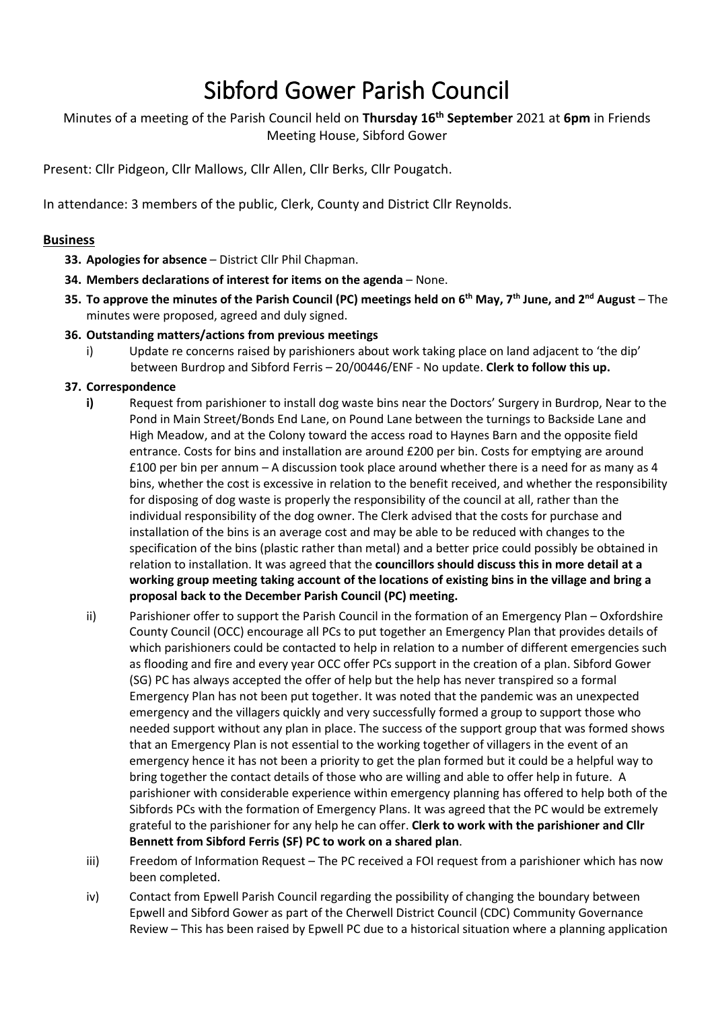# Sibford Gower Parish Council

Minutes of a meeting of the Parish Council held on **Thursday 16th September** 2021 at **6pm** in Friends Meeting House, Sibford Gower

Present: Cllr Pidgeon, Cllr Mallows, Cllr Allen, Cllr Berks, Cllr Pougatch.

In attendance: 3 members of the public, Clerk, County and District Cllr Reynolds.

## **Business**

- **33. Apologies for absence** District Cllr Phil Chapman.
- **34. Members declarations of interest for items on the agenda** None.
- **35. To approve the minutes of the Parish Council (PC) meetings held on 6 th May, 7th June, and 2 nd August** The minutes were proposed, agreed and duly signed.
- **36. Outstanding matters/actions from previous meetings**
	- i) Update re concerns raised by parishioners about work taking place on land adjacent to 'the dip' between Burdrop and Sibford Ferris – 20/00446/ENF - No update. **Clerk to follow this up.**
- **37. Correspondence**
	- **i)** Request from parishioner to install dog waste bins near the Doctors' Surgery in Burdrop, Near to the Pond in Main Street/Bonds End Lane, on Pound Lane between the turnings to Backside Lane and High Meadow, and at the Colony toward the access road to Haynes Barn and the opposite field entrance. Costs for bins and installation are around £200 per bin. Costs for emptying are around £100 per bin per annum – A discussion took place around whether there is a need for as many as 4 bins, whether the cost is excessive in relation to the benefit received, and whether the responsibility for disposing of dog waste is properly the responsibility of the council at all, rather than the individual responsibility of the dog owner. The Clerk advised that the costs for purchase and installation of the bins is an average cost and may be able to be reduced with changes to the specification of the bins (plastic rather than metal) and a better price could possibly be obtained in relation to installation. It was agreed that the **councillors should discuss this in more detail at a working group meeting taking account of the locations of existing bins in the village and bring a proposal back to the December Parish Council (PC) meeting.**
	- ii) Parishioner offer to support the Parish Council in the formation of an Emergency Plan Oxfordshire County Council (OCC) encourage all PCs to put together an Emergency Plan that provides details of which parishioners could be contacted to help in relation to a number of different emergencies such as flooding and fire and every year OCC offer PCs support in the creation of a plan. Sibford Gower (SG) PC has always accepted the offer of help but the help has never transpired so a formal Emergency Plan has not been put together. It was noted that the pandemic was an unexpected emergency and the villagers quickly and very successfully formed a group to support those who needed support without any plan in place. The success of the support group that was formed shows that an Emergency Plan is not essential to the working together of villagers in the event of an emergency hence it has not been a priority to get the plan formed but it could be a helpful way to bring together the contact details of those who are willing and able to offer help in future. A parishioner with considerable experience within emergency planning has offered to help both of the Sibfords PCs with the formation of Emergency Plans. It was agreed that the PC would be extremely grateful to the parishioner for any help he can offer. **Clerk to work with the parishioner and Cllr Bennett from Sibford Ferris (SF) PC to work on a shared plan**.
	- iii) Freedom of Information Request The PC received a FOI request from a parishioner which has now been completed.
	- iv) Contact from Epwell Parish Council regarding the possibility of changing the boundary between Epwell and Sibford Gower as part of the Cherwell District Council (CDC) Community Governance Review – This has been raised by Epwell PC due to a historical situation where a planning application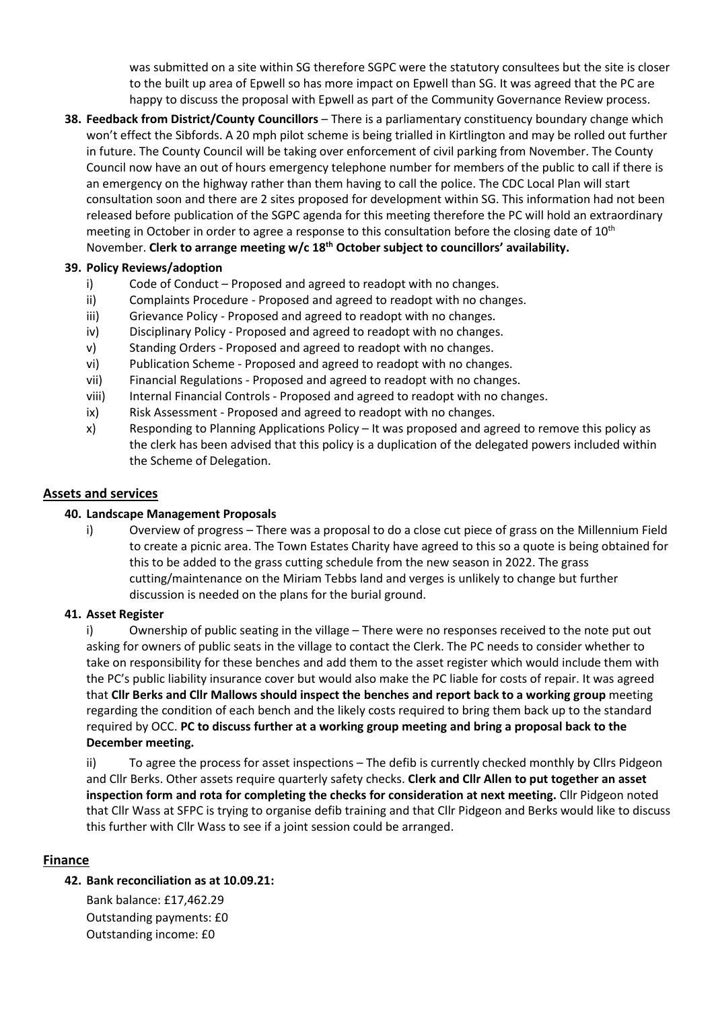was submitted on a site within SG therefore SGPC were the statutory consultees but the site is closer to the built up area of Epwell so has more impact on Epwell than SG. It was agreed that the PC are happy to discuss the proposal with Epwell as part of the Community Governance Review process.

**38. Feedback from District/County Councillors** – There is a parliamentary constituency boundary change which won't effect the Sibfords. A 20 mph pilot scheme is being trialled in Kirtlington and may be rolled out further in future. The County Council will be taking over enforcement of civil parking from November. The County Council now have an out of hours emergency telephone number for members of the public to call if there is an emergency on the highway rather than them having to call the police. The CDC Local Plan will start consultation soon and there are 2 sites proposed for development within SG. This information had not been released before publication of the SGPC agenda for this meeting therefore the PC will hold an extraordinary meeting in October in order to agree a response to this consultation before the closing date of 10<sup>th</sup> November. **Clerk to arrange meeting w/c 18th October subject to councillors' availability.** 

## **39. Policy Reviews/adoption**

- i) Code of Conduct Proposed and agreed to readopt with no changes.
- ii) Complaints Procedure Proposed and agreed to readopt with no changes.
- iii) Grievance Policy Proposed and agreed to readopt with no changes.
- iv) Disciplinary Policy Proposed and agreed to readopt with no changes.
- v) Standing Orders Proposed and agreed to readopt with no changes.
- vi) Publication Scheme Proposed and agreed to readopt with no changes.
- vii) Financial Regulations Proposed and agreed to readopt with no changes.
- viii) Internal Financial Controls Proposed and agreed to readopt with no changes.
- ix) Risk Assessment Proposed and agreed to readopt with no changes.
- x) Responding to Planning Applications Policy It was proposed and agreed to remove this policy as the clerk has been advised that this policy is a duplication of the delegated powers included within the Scheme of Delegation.

## **Assets and services**

## **40. Landscape Management Proposals**

i) Overview of progress – There was a proposal to do a close cut piece of grass on the Millennium Field to create a picnic area. The Town Estates Charity have agreed to this so a quote is being obtained for this to be added to the grass cutting schedule from the new season in 2022. The grass cutting/maintenance on the Miriam Tebbs land and verges is unlikely to change but further discussion is needed on the plans for the burial ground.

## **41. Asset Register**

i) Ownership of public seating in the village – There were no responses received to the note put out asking for owners of public seats in the village to contact the Clerk. The PC needs to consider whether to take on responsibility for these benches and add them to the asset register which would include them with the PC's public liability insurance cover but would also make the PC liable for costs of repair. It was agreed that **Cllr Berks and Cllr Mallows should inspect the benches and report back to a working group** meeting regarding the condition of each bench and the likely costs required to bring them back up to the standard required by OCC. **PC to discuss further at a working group meeting and bring a proposal back to the December meeting.**

ii) To agree the process for asset inspections – The defib is currently checked monthly by Cllrs Pidgeon and Cllr Berks. Other assets require quarterly safety checks. **Clerk and Cllr Allen to put together an asset inspection form and rota for completing the checks for consideration at next meeting.** Cllr Pidgeon noted that Cllr Wass at SFPC is trying to organise defib training and that Cllr Pidgeon and Berks would like to discuss this further with Cllr Wass to see if a joint session could be arranged.

## **Finance**

## **42. Bank reconciliation as at 10.09.21:**

Bank balance: £17,462.29 Outstanding payments: £0 Outstanding income: £0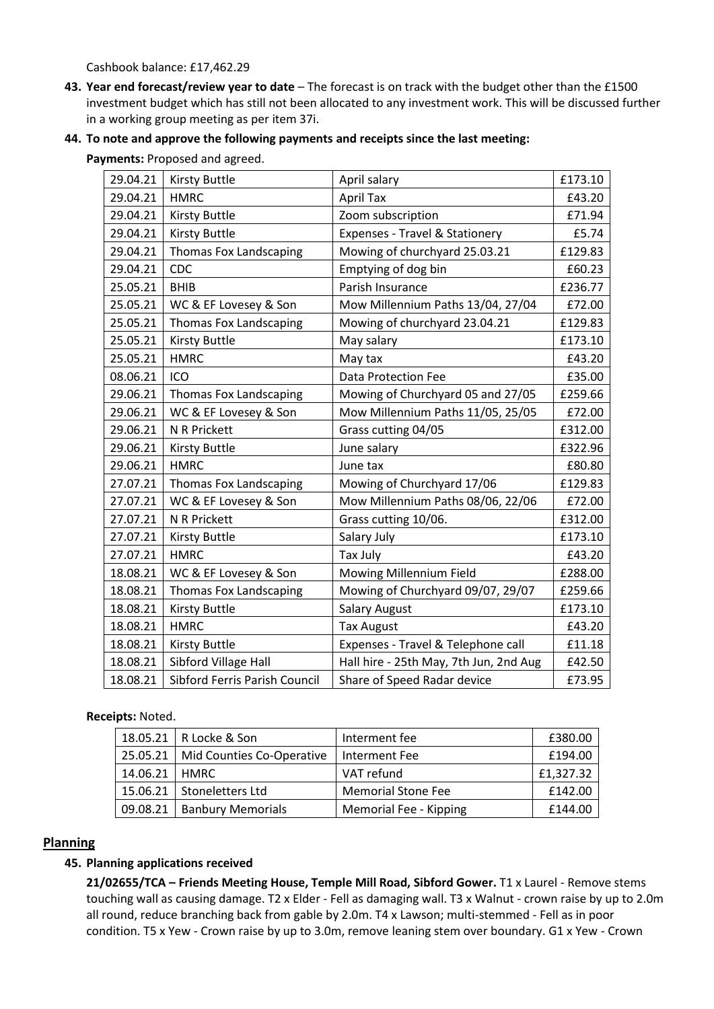Cashbook balance: £17,462.29

- **43. Year end forecast/review year to date** The forecast is on track with the budget other than the £1500 investment budget which has still not been allocated to any investment work. This will be discussed further in a working group meeting as per item 37i.
- **44. To note and approve the following payments and receipts since the last meeting:**

**Payments:** Proposed and agreed.

| 29.04.21 | <b>Kirsty Buttle</b>          | April salary                           | £173.10 |
|----------|-------------------------------|----------------------------------------|---------|
| 29.04.21 | <b>HMRC</b>                   | <b>April Tax</b>                       | £43.20  |
| 29.04.21 | <b>Kirsty Buttle</b>          | Zoom subscription                      | £71.94  |
| 29.04.21 | <b>Kirsty Buttle</b>          | Expenses - Travel & Stationery         | £5.74   |
| 29.04.21 | Thomas Fox Landscaping        | Mowing of churchyard 25.03.21          | £129.83 |
| 29.04.21 | CDC                           | Emptying of dog bin                    | £60.23  |
| 25.05.21 | <b>BHIB</b>                   | Parish Insurance                       | £236.77 |
| 25.05.21 | WC & EF Lovesey & Son         | Mow Millennium Paths 13/04, 27/04      | £72.00  |
| 25.05.21 | Thomas Fox Landscaping        | Mowing of churchyard 23.04.21          | £129.83 |
| 25.05.21 | <b>Kirsty Buttle</b>          | May salary                             | £173.10 |
| 25.05.21 | <b>HMRC</b>                   | May tax                                | £43.20  |
| 08.06.21 | ICO                           | Data Protection Fee                    | £35.00  |
| 29.06.21 | Thomas Fox Landscaping        | Mowing of Churchyard 05 and 27/05      | £259.66 |
| 29.06.21 | WC & EF Lovesey & Son         | Mow Millennium Paths 11/05, 25/05      | £72.00  |
| 29.06.21 | N R Prickett                  | Grass cutting 04/05                    | £312.00 |
| 29.06.21 | <b>Kirsty Buttle</b>          | June salary                            | £322.96 |
| 29.06.21 | <b>HMRC</b>                   | June tax                               | £80.80  |
| 27.07.21 | Thomas Fox Landscaping        | Mowing of Churchyard 17/06             | £129.83 |
| 27.07.21 | WC & EF Lovesey & Son         | Mow Millennium Paths 08/06, 22/06      | £72.00  |
| 27.07.21 | N R Prickett                  | Grass cutting 10/06.                   | £312.00 |
| 27.07.21 | <b>Kirsty Buttle</b>          | Salary July                            | £173.10 |
| 27.07.21 | <b>HMRC</b>                   | <b>Tax July</b>                        | £43.20  |
| 18.08.21 | WC & EF Lovesey & Son         | Mowing Millennium Field                | £288.00 |
| 18.08.21 | Thomas Fox Landscaping        | Mowing of Churchyard 09/07, 29/07      | £259.66 |
| 18.08.21 | Kirsty Buttle                 | <b>Salary August</b>                   | £173.10 |
| 18.08.21 | <b>HMRC</b>                   | <b>Tax August</b>                      | £43.20  |
| 18.08.21 | <b>Kirsty Buttle</b>          | Expenses - Travel & Telephone call     | £11.18  |
| 18.08.21 | Sibford Village Hall          | Hall hire - 25th May, 7th Jun, 2nd Aug | £42.50  |
| 18.08.21 | Sibford Ferris Parish Council | Share of Speed Radar device            | £73.95  |

#### **Receipts:** Noted.

|          | 18.05.21   R Locke & Son             | Interment fee             | £380.00   |
|----------|--------------------------------------|---------------------------|-----------|
|          | 25.05.21   Mid Counties Co-Operative | Interment Fee             | £194.00   |
| 14.06.21 | <b>HMRC</b>                          | VAT refund                | £1,327.32 |
|          | 15.06.21   Stoneletters Ltd          | <b>Memorial Stone Fee</b> | £142.00   |
| 09.08.21 | <b>Banbury Memorials</b>             | Memorial Fee - Kipping    | £144.00   |

## **Planning**

## **45. Planning applications received**

**21/02655/TCA – Friends Meeting House, Temple Mill Road, Sibford Gower.** T1 x Laurel - Remove stems touching wall as causing damage. T2 x Elder - Fell as damaging wall. T3 x Walnut - crown raise by up to 2.0m all round, reduce branching back from gable by 2.0m. T4 x Lawson; multi-stemmed - Fell as in poor condition. T5 x Yew - Crown raise by up to 3.0m, remove leaning stem over boundary. G1 x Yew - Crown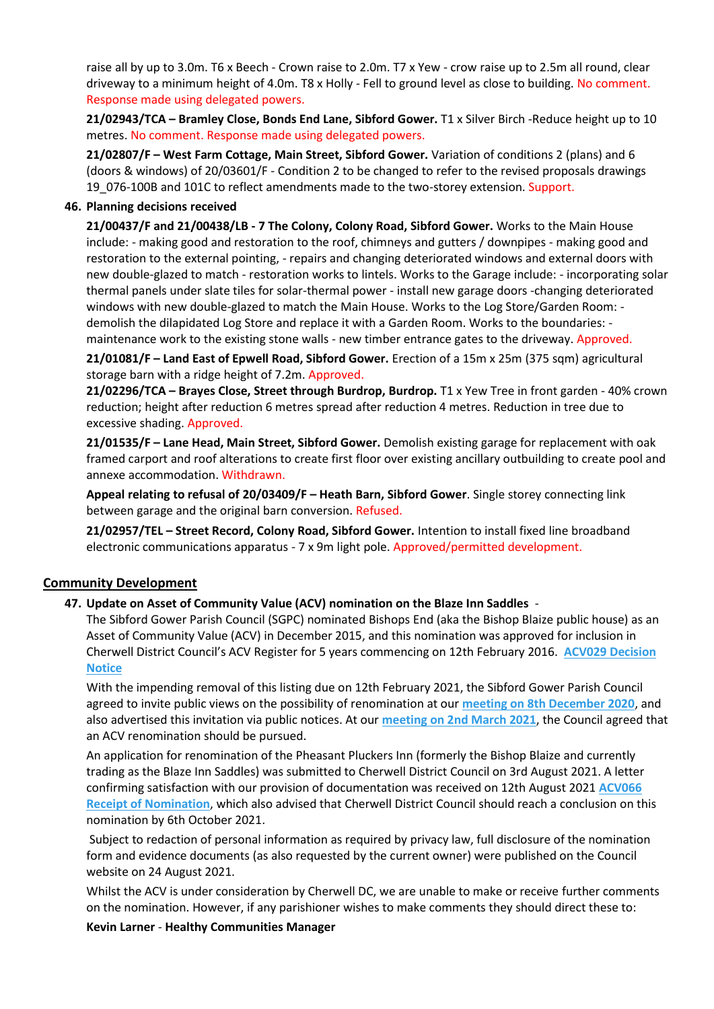raise all by up to 3.0m. T6 x Beech - Crown raise to 2.0m. T7 x Yew - crow raise up to 2.5m all round, clear driveway to a minimum height of 4.0m. T8 x Holly - Fell to ground level as close to building. No comment. Response made using delegated powers.

**21/02943/TCA – Bramley Close, Bonds End Lane, Sibford Gower.** T1 x Silver Birch -Reduce height up to 10 metres. No comment. Response made using delegated powers.

**21/02807/F – West Farm Cottage, Main Street, Sibford Gower.** Variation of conditions 2 (plans) and 6 (doors & windows) of 20/03601/F - Condition 2 to be changed to refer to the revised proposals drawings 19\_076-100B and 101C to reflect amendments made to the two-storey extension. Support.

#### **46. Planning decisions received**

**21/00437/F and 21/00438/LB - 7 The Colony, Colony Road, Sibford Gower.** Works to the Main House include: - making good and restoration to the roof, chimneys and gutters / downpipes - making good and restoration to the external pointing, - repairs and changing deteriorated windows and external doors with new double-glazed to match - restoration works to lintels. Works to the Garage include: - incorporating solar thermal panels under slate tiles for solar-thermal power - install new garage doors -changing deteriorated windows with new double-glazed to match the Main House. Works to the Log Store/Garden Room: demolish the dilapidated Log Store and replace it with a Garden Room. Works to the boundaries: maintenance work to the existing stone walls - new timber entrance gates to the driveway. Approved.

**21/01081/F – Land East of Epwell Road, Sibford Gower.** Erection of a 15m x 25m (375 sqm) agricultural storage barn with a ridge height of 7.2m. Approved.

**21/02296/TCA – Brayes Close, Street through Burdrop, Burdrop.** T1 x Yew Tree in front garden - 40% crown reduction; height after reduction 6 metres spread after reduction 4 metres. Reduction in tree due to excessive shading. Approved.

**21/01535/F – Lane Head, Main Street, Sibford Gower.** Demolish existing garage for replacement with oak framed carport and roof alterations to create first floor over existing ancillary outbuilding to create pool and annexe accommodation. Withdrawn.

**Appeal relating to refusal of 20/03409/F – Heath Barn, Sibford Gower**. Single storey connecting link between garage and the original barn conversion. Refused.

**21/02957/TEL – Street Record, Colony Road, Sibford Gower.** Intention to install fixed line broadband electronic communications apparatus - 7 x 9m light pole. Approved/permitted development.

## **Community Development**

#### **47. Update on Asset of Community Value (ACV) nomination on the Blaze Inn Saddles** -

The Sibford Gower Parish Council (SGPC) nominated Bishops End (aka the Bishop Blaize public house) as an Asset of Community Value (ACV) in December 2015, and this nomination was approved for inclusion in Cherwell District Council's ACV Register for 5 years commencing on 12th February 2016. **[ACV029 Decision](https://thesibfords.uk/sib2/wp-content/uploads/2021/08/ACV-2016-Decision-Notice.pdf)  [Notice](https://thesibfords.uk/sib2/wp-content/uploads/2021/08/ACV-2016-Decision-Notice.pdf)**

With the impending removal of this listing due on 12th February 2021, the Sibford Gower Parish Council agreed to invite public views on the possibility of renomination at our **[meeting on 8th December 2020](https://thesibfords.uk/sib2/wp-content/uploads/2021/04/08-Dec-2020-SGPC-Minutes.pdf)**, and also advertised this invitation via public notices. At our **[meeting on 2nd March 2021](https://thesibfords.uk/sib2/wp-content/uploads/2021/05/SGPC-Minutes-02.03.21.pdf)**, the Council agreed that an ACV renomination should be pursued.

An application for renomination of the Pheasant Pluckers Inn (formerly the Bishop Blaize and currently trading as the Blaze Inn Saddles) was submitted to Cherwell District Council on 3rd August 2021. A letter confirming satisfaction with our provision of documentation was received on 12th August 2021 **[ACV066](https://thesibfords.uk/sib2/wp-content/uploads/2021/08/ACV066_Receipt-of-Nomination_Nominator.pdf)  [Receipt of Nomination](https://thesibfords.uk/sib2/wp-content/uploads/2021/08/ACV066_Receipt-of-Nomination_Nominator.pdf)**, which also advised that Cherwell District Council should reach a conclusion on this nomination by 6th October 2021.

Subject to redaction of personal information as required by privacy law, full disclosure of the nomination form and evidence documents (as also requested by the current owner) were published on the Council website on 24 August 2021.

Whilst the ACV is under consideration by Cherwell DC, we are unable to make or receive further comments on the nomination. However, if any parishioner wishes to make comments they should direct these to:

#### **Kevin Larner** - **Healthy Communities Manager**